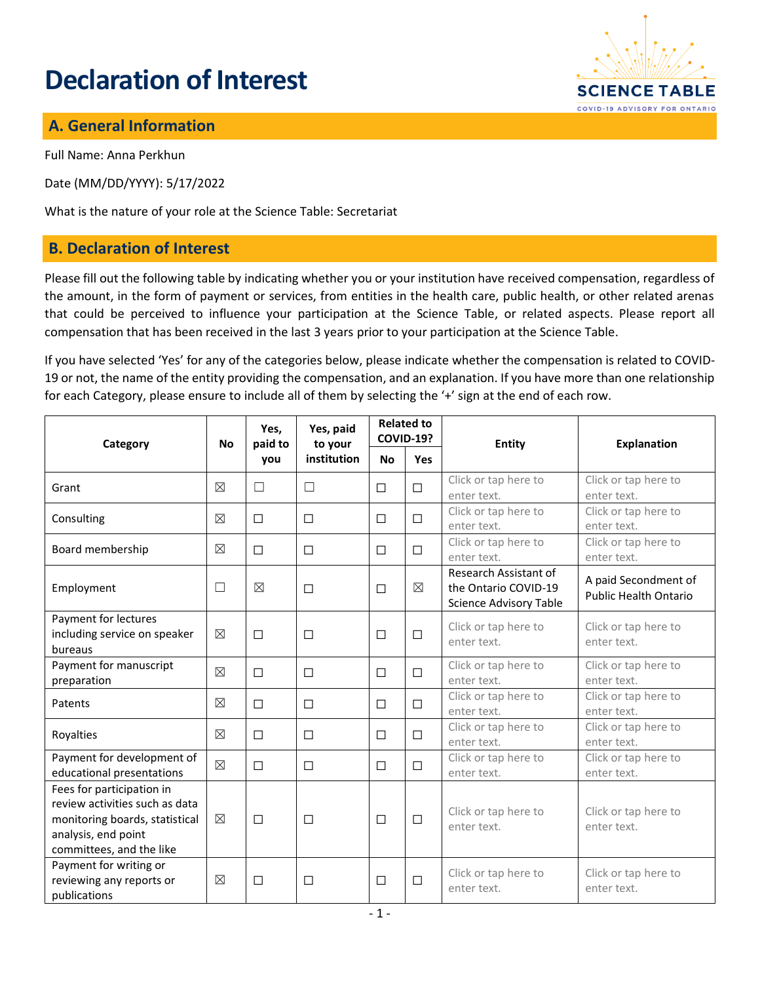# **Declaration of Interest**



### **A. General Information**

Full Name: Anna Perkhun

Date (MM/DD/YYYY): 5/17/2022

What is the nature of your role at the Science Table: Secretariat

#### **B. Declaration of Interest**

Please fill out the following table by indicating whether you or your institution have received compensation, regardless of the amount, in the form of payment or services, from entities in the health care, public health, or other related arenas that could be perceived to influence your participation at the Science Table, or related aspects. Please report all compensation that has been received in the last 3 years prior to your participation at the Science Table.

If you have selected 'Yes' for any of the categories below, please indicate whether the compensation is related to COVID-19 or not, the name of the entity providing the compensation, and an explanation. If you have more than one relationship for each Category, please ensure to include all of them by selecting the '+' sign at the end of each row.

| Category                                                                                                                                         | <b>No</b>   | Yes,<br>paid to<br>you | Yes, paid<br>to your<br>institution | <b>Related to</b><br><b>COVID-19?</b> |        | <b>Entity</b>                                                                  | <b>Explanation</b>                                   |
|--------------------------------------------------------------------------------------------------------------------------------------------------|-------------|------------------------|-------------------------------------|---------------------------------------|--------|--------------------------------------------------------------------------------|------------------------------------------------------|
|                                                                                                                                                  |             |                        |                                     | <b>No</b>                             | Yes    |                                                                                |                                                      |
| Grant                                                                                                                                            | $\boxtimes$ | $\Box$                 | $\Box$                              | $\Box$                                | $\Box$ | Click or tap here to<br>enter text.                                            | Click or tap here to<br>enter text.                  |
| Consulting                                                                                                                                       | $\boxtimes$ | $\Box$                 | $\Box$                              | $\Box$                                | $\Box$ | Click or tap here to<br>enter text.                                            | Click or tap here to<br>enter text.                  |
| Board membership                                                                                                                                 | $\boxtimes$ | □                      | □                                   | $\Box$                                | □      | Click or tap here to<br>enter text.                                            | Click or tap here to<br>enter text.                  |
| Employment                                                                                                                                       | $\Box$      | $\boxtimes$            | $\Box$                              | $\Box$                                | ⊠      | Research Assistant of<br>the Ontario COVID-19<br><b>Science Advisory Table</b> | A paid Secondment of<br><b>Public Health Ontario</b> |
| Payment for lectures<br>including service on speaker<br>bureaus                                                                                  | $\boxtimes$ | □                      | □                                   | $\Box$                                | $\Box$ | Click or tap here to<br>enter text.                                            | Click or tap here to<br>enter text.                  |
| Payment for manuscript<br>preparation                                                                                                            | $\boxtimes$ | $\Box$                 | □                                   | $\Box$                                | $\Box$ | Click or tap here to<br>enter text.                                            | Click or tap here to<br>enter text.                  |
| Patents                                                                                                                                          | $\boxtimes$ | $\Box$                 | □                                   | $\Box$                                | $\Box$ | Click or tap here to<br>enter text.                                            | Click or tap here to<br>enter text.                  |
| Royalties                                                                                                                                        | $\boxtimes$ | П                      | $\Box$                              | П                                     | $\Box$ | Click or tap here to<br>enter text.                                            | Click or tap here to<br>enter text.                  |
| Payment for development of<br>educational presentations                                                                                          | $\boxtimes$ | □                      | □                                   | $\Box$                                | $\Box$ | Click or tap here to<br>enter text.                                            | Click or tap here to<br>enter text.                  |
| Fees for participation in<br>review activities such as data<br>monitoring boards, statistical<br>analysis, end point<br>committees, and the like | $\boxtimes$ | □                      | □                                   | $\Box$                                | $\Box$ | Click or tap here to<br>enter text.                                            | Click or tap here to<br>enter text.                  |
| Payment for writing or<br>reviewing any reports or<br>publications                                                                               | $\boxtimes$ | $\Box$                 | $\Box$                              | $\Box$                                | $\Box$ | Click or tap here to<br>enter text.                                            | Click or tap here to<br>enter text.                  |